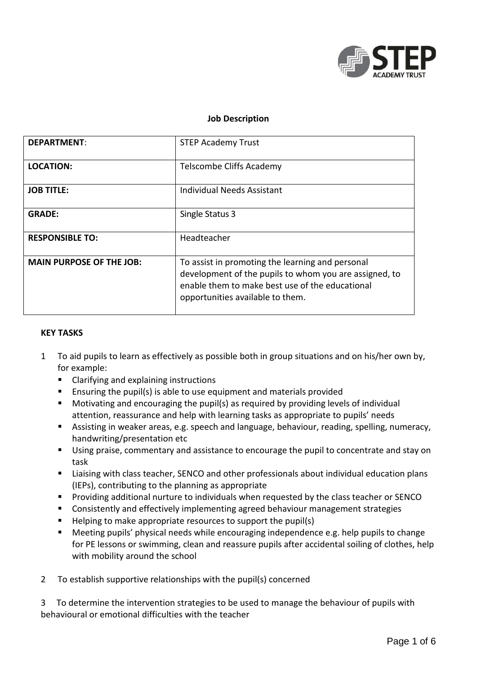

### **Job Description**

| <b>DEPARTMENT:</b>              | <b>STEP Academy Trust</b>                                                                                                                                                                         |
|---------------------------------|---------------------------------------------------------------------------------------------------------------------------------------------------------------------------------------------------|
| <b>LOCATION:</b>                | Telscombe Cliffs Academy                                                                                                                                                                          |
| <b>JOB TITLE:</b>               | Individual Needs Assistant                                                                                                                                                                        |
| <b>GRADE:</b>                   | Single Status 3                                                                                                                                                                                   |
| <b>RESPONSIBLE TO:</b>          | Headteacher                                                                                                                                                                                       |
| <b>MAIN PURPOSE OF THE JOB:</b> | To assist in promoting the learning and personal<br>development of the pupils to whom you are assigned, to<br>enable them to make best use of the educational<br>opportunities available to them. |

#### **KEY TASKS**

- 1 To aid pupils to learn as effectively as possible both in group situations and on his/her own by, for example:
	- Clarifying and explaining instructions
	- Ensuring the pupil(s) is able to use equipment and materials provided
	- Motivating and encouraging the pupil(s) as required by providing levels of individual attention, reassurance and help with learning tasks as appropriate to pupils' needs
	- **Assisting in weaker areas, e.g. speech and language, behaviour, reading, spelling, numeracy,** handwriting/presentation etc
	- Using praise, commentary and assistance to encourage the pupil to concentrate and stay on task
	- **E** Liaising with class teacher, SENCO and other professionals about individual education plans (IEPs), contributing to the planning as appropriate
	- Providing additional nurture to individuals when requested by the class teacher or SENCO
	- **EXP** Consistently and effectively implementing agreed behaviour management strategies
	- $\blacksquare$  Helping to make appropriate resources to support the pupil(s)
	- Meeting pupils' physical needs while encouraging independence e.g. help pupils to change for PE lessons or swimming, clean and reassure pupils after accidental soiling of clothes, help with mobility around the school
- 2 To establish supportive relationships with the pupil(s) concerned

3 To determine the intervention strategies to be used to manage the behaviour of pupils with behavioural or emotional difficulties with the teacher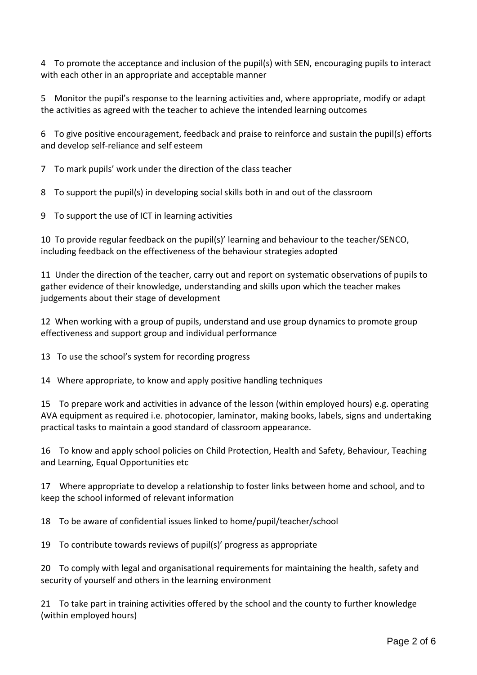4 To promote the acceptance and inclusion of the pupil(s) with SEN, encouraging pupils to interact with each other in an appropriate and acceptable manner

5 Monitor the pupil's response to the learning activities and, where appropriate, modify or adapt the activities as agreed with the teacher to achieve the intended learning outcomes

6 To give positive encouragement, feedback and praise to reinforce and sustain the pupil(s) efforts and develop self-reliance and self esteem

7 To mark pupils' work under the direction of the class teacher

8 To support the pupil(s) in developing social skills both in and out of the classroom

9 To support the use of ICT in learning activities

10 To provide regular feedback on the pupil(s)' learning and behaviour to the teacher/SENCO, including feedback on the effectiveness of the behaviour strategies adopted

11 Under the direction of the teacher, carry out and report on systematic observations of pupils to gather evidence of their knowledge, understanding and skills upon which the teacher makes judgements about their stage of development

12 When working with a group of pupils, understand and use group dynamics to promote group effectiveness and support group and individual performance

13 To use the school's system for recording progress

14 Where appropriate, to know and apply positive handling techniques

15 To prepare work and activities in advance of the lesson (within employed hours) e.g. operating AVA equipment as required i.e. photocopier, laminator, making books, labels, signs and undertaking practical tasks to maintain a good standard of classroom appearance.

16 To know and apply school policies on Child Protection, Health and Safety, Behaviour, Teaching and Learning, Equal Opportunities etc

17 Where appropriate to develop a relationship to foster links between home and school, and to keep the school informed of relevant information

18 To be aware of confidential issues linked to home/pupil/teacher/school

19 To contribute towards reviews of pupil(s)' progress as appropriate

20 To comply with legal and organisational requirements for maintaining the health, safety and security of yourself and others in the learning environment

21 To take part in training activities offered by the school and the county to further knowledge (within employed hours)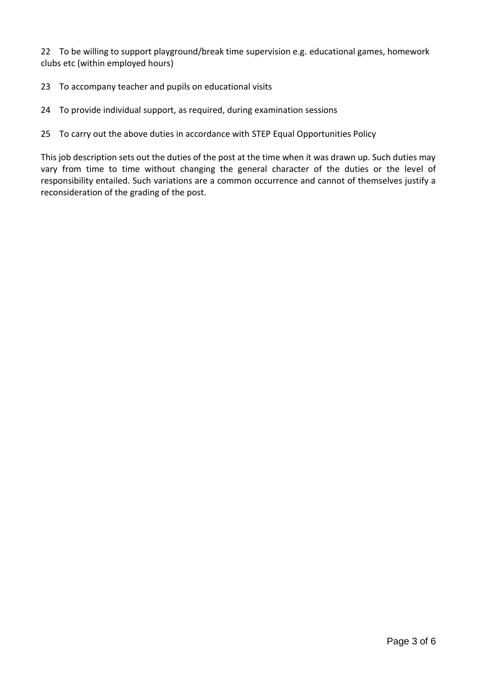22 To be willing to support playground/break time supervision e.g. educational games, homework clubs etc (within employed hours)

- 23 To accompany teacher and pupils on educational visits
- 24 To provide individual support, as required, during examination sessions

### 25 To carry out the above duties in accordance with STEP Equal Opportunities Policy

This job description sets out the duties of the post at the time when it was drawn up. Such duties may vary from time to time without changing the general character of the duties or the level of responsibility entailed. Such variations are a common occurrence and cannot of themselves justify a reconsideration of the grading of the post.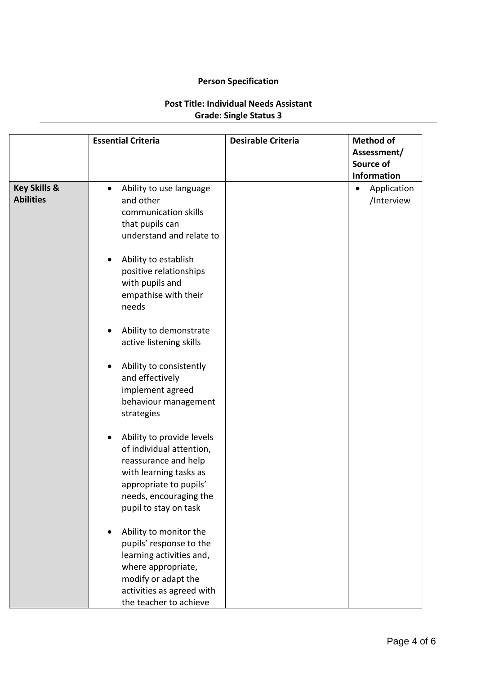## **Person Specification**

# **Post Title: Individual Needs Assistant Grade: Single Status 3**

|                                             | <b>Essential Criteria</b>                                                                                                                                                                         | <b>Desirable Criteria</b> | <b>Method of</b><br>Assessment/<br>Source of<br><b>Information</b> |
|---------------------------------------------|---------------------------------------------------------------------------------------------------------------------------------------------------------------------------------------------------|---------------------------|--------------------------------------------------------------------|
| <b>Key Skills &amp;</b><br><b>Abilities</b> | Ability to use language<br>$\bullet$<br>and other<br>communication skills<br>that pupils can<br>understand and relate to<br>Ability to establish<br>$\bullet$                                     |                           | Application<br>$\bullet$<br>/Interview                             |
|                                             | positive relationships<br>with pupils and<br>empathise with their<br>needs                                                                                                                        |                           |                                                                    |
|                                             | Ability to demonstrate<br>$\bullet$<br>active listening skills                                                                                                                                    |                           |                                                                    |
|                                             | Ability to consistently<br>$\bullet$<br>and effectively<br>implement agreed<br>behaviour management<br>strategies                                                                                 |                           |                                                                    |
|                                             | Ability to provide levels<br>$\bullet$<br>of individual attention,<br>reassurance and help<br>with learning tasks as<br>appropriate to pupils'<br>needs, encouraging the<br>pupil to stay on task |                           |                                                                    |
|                                             | Ability to monitor the<br>$\bullet$<br>pupils' response to the<br>learning activities and,<br>where appropriate,<br>modify or adapt the<br>activities as agreed with<br>the teacher to achieve    |                           |                                                                    |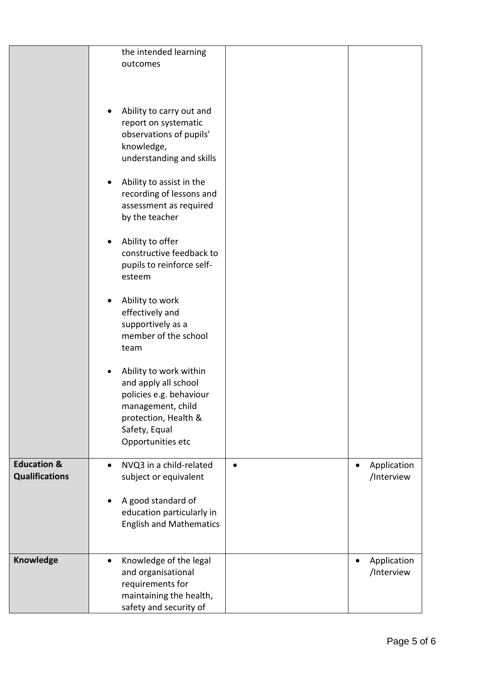|                                                 | the intended learning<br>outcomes<br>Ability to carry out and<br>report on systematic<br>observations of pupils'<br>knowledge,<br>understanding and skills<br>Ability to assist in the<br>٠<br>recording of lessons and<br>assessment as required<br>by the teacher |                           |
|-------------------------------------------------|---------------------------------------------------------------------------------------------------------------------------------------------------------------------------------------------------------------------------------------------------------------------|---------------------------|
|                                                 | Ability to offer<br>constructive feedback to<br>pupils to reinforce self-<br>esteem                                                                                                                                                                                 |                           |
|                                                 | Ability to work<br>effectively and<br>supportively as a<br>member of the school<br>team                                                                                                                                                                             |                           |
|                                                 | Ability to work within<br>and apply all school<br>policies e.g. behaviour<br>management, child<br>protection, Health &<br>Safety, Equal<br>Opportunities etc                                                                                                        |                           |
| <b>Education &amp;</b><br><b>Qualifications</b> | NVQ3 in a child-related<br>$\bullet$<br>subject or equivalent<br>A good standard of<br>education particularly in<br><b>English and Mathematics</b>                                                                                                                  | Application<br>/Interview |
| Knowledge                                       | Knowledge of the legal<br>$\bullet$<br>and organisational<br>requirements for<br>maintaining the health,<br>safety and security of                                                                                                                                  | Application<br>/Interview |